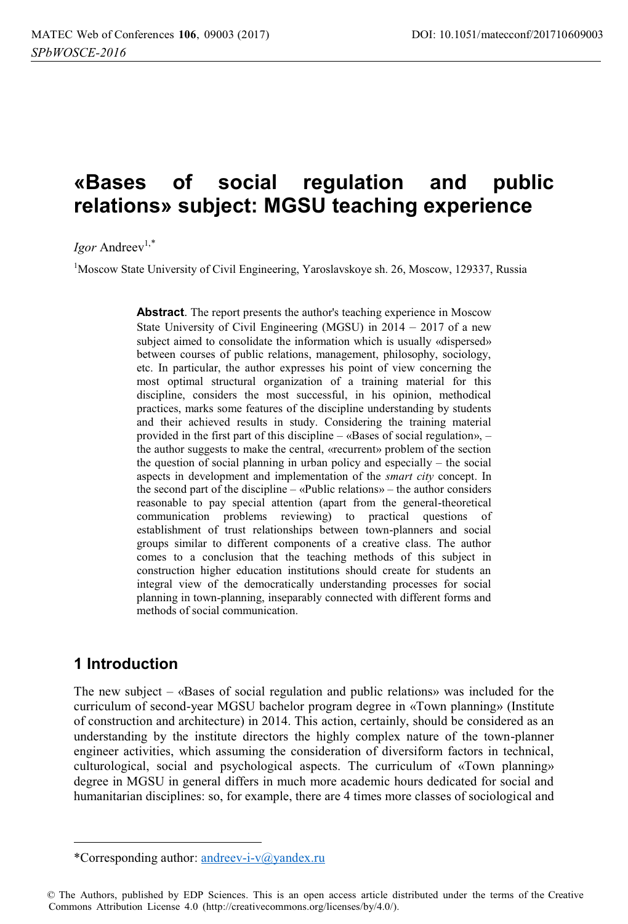# **«Bases of social regulation and public relations» subject: MGSU teaching experience**

*Igor* Andreev<sup>1,\*</sup>

<sup>1</sup>Moscow State University of Civil Engineering, Yaroslavskoye sh. 26, Moscow, 129337, Russia

**Abstract**. The report presents the author's teaching experience in Moscow State University of Civil Engineering (MGSU) in 2014 – 2017 of a new subject aimed to consolidate the information which is usually «dispersed» between courses of public relations, management, philosophy, sociology, etc. In particular, the author expresses his point of view concerning the most optimal structural organization of a training material for this discipline, considers the most successful, in his opinion, methodical practices, marks some features of the discipline understanding by students and their achieved results in study. Considering the training material provided in the first part of this discipline – «Bases of social regulation», – the author suggests to make the central, «recurrent» problem of the section the question of social planning in urban policy and especially – the social aspects in development and implementation of the *smart city* concept. In the second part of the discipline – «Public relations» – the author considers reasonable to pay special attention (apart from the general-theoretical communication problems reviewing) to practical questions of establishment of trust relationships between town-planners and social groups similar to different components of a creative class. The author comes to a conclusion that the teaching methods of this subject in construction higher education institutions should create for students an integral view of the democratically understanding processes for social planning in town-planning, inseparably connected with different forms and methods of social communication.

### **1 Introduction**

 $\overline{a}$ 

The new subject – «Bases of social regulation and public relations» was included for the curriculum of second-year MGSU bachelor program degree in «Town planning» (Institute of construction and architecture) in 2014. This action, certainly, should be considered as an understanding by the institute directors the highly complex nature of the town-planner engineer activities, which assuming the consideration of diversiform factors in technical, culturological, social and psychological aspects. The curriculum of «Town planning» degree in MGSU in general differs in much more academic hours dedicated for social and humanitarian disciplines: so, for example, there are 4 times more classes of sociological and

<sup>\*</sup>Corresponding author: andreev-i-v@yandex.ru

<sup>©</sup> The Authors, published by EDP Sciences. This is an open access article distributed under the terms of the Creative Commons Attribution License 4.0 (http://creativecommons.org/licenses/by/4.0/).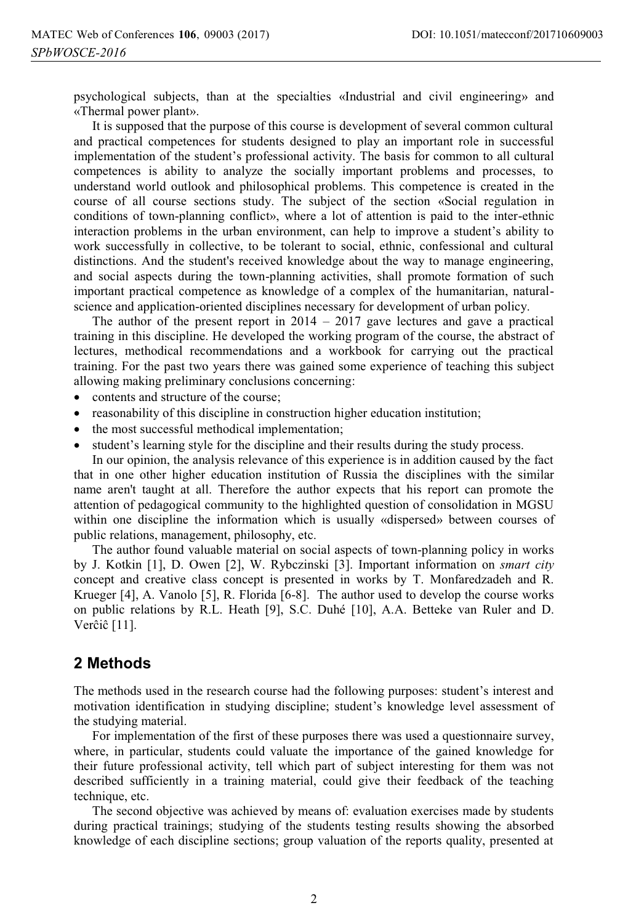psychological subjects, than at the specialties «Industrial and civil engineering» and «Thermal power plant».

It is supposed that the purpose of this course is development of several common cultural and practical competences for students designed to play an important role in successful implementation of the student's professional activity. The basis for common to all cultural competences is ability to analyze the socially important problems and processes, to understand world outlook and philosophical problems. This competence is created in the course of all course sections study. The subject of the section «Social regulation in conditions of town-planning conflict», where a lot of attention is paid to the inter-ethnic interaction problems in the urban environment, can help to improve a student's ability to work successfully in collective, to be tolerant to social, ethnic, confessional and cultural distinctions. And the student's received knowledge about the way to manage engineering, and social aspects during the town-planning activities, shall promote formation of such important practical competence as knowledge of a complex of the humanitarian, naturalscience and application-oriented disciplines necessary for development of urban policy.

The author of the present report in  $2014 - 2017$  gave lectures and gave a practical training in this discipline. He developed the working program of the course, the abstract of lectures, methodical recommendations and a workbook for carrying out the practical training. For the past two years there was gained some experience of teaching this subject allowing making preliminary conclusions concerning:

- contents and structure of the course;
- reasonability of this discipline in construction higher education institution;
- $\bullet$  the most successful methodical implementation;
- student's learning style for the discipline and their results during the study process.

In our opinion, the analysis relevance of this experience is in addition caused by the fact that in one other higher education institution of Russia the disciplines with the similar name aren't taught at all. Therefore the author expects that his report can promote the attention of pedagogical community to the highlighted question of consolidation in MGSU within one discipline the information which is usually «dispersed» between courses of public relations, management, philosophy, etc.

The author found valuable material on social aspects of town-planning policy in works by J. Kotkin [1], D. Owen [2], W. Rybczinski [3]. Important information on *smart city* concept and creative class concept is presented in works by T. Monfaredzadeh and R. Krueger [4], A. Vanolo [5], R. Florida [6-8]. The author used to develop the course works on public relations by R.L. Heath [9], S.C. Duhé [10], A.A. Betteke van Ruler and D. Verĉiĉ [11].

#### **2 Methods**

The methods used in the research course had the following purposes: student's interest and motivation identification in studying discipline; student's knowledge level assessment of the studying material.

For implementation of the first of these purposes there was used a questionnaire survey, where, in particular, students could valuate the importance of the gained knowledge for their future professional activity, tell which part of subject interesting for them was not described sufficiently in a training material, could give their feedback of the teaching technique, etc.

The second objective was achieved by means of: evaluation exercises made by students during practical trainings; studying of the students testing results showing the absorbed knowledge of each discipline sections; group valuation of the reports quality, presented at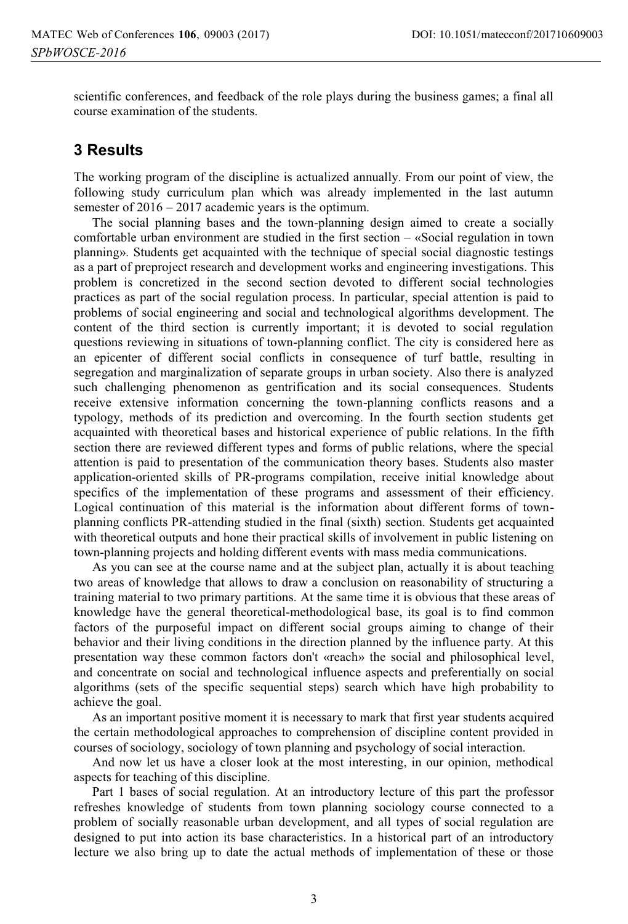scientific conferences, and feedback of the role plays during the business games; a final all course examination of the students.

#### **3 Results**

The working program of the discipline is actualized annually. From our point of view, the following study curriculum plan which was already implemented in the last autumn semester of 2016 – 2017 academic years is the optimum.

The social planning bases and the town-planning design aimed to create a socially comfortable urban environment are studied in the first section – «Social regulation in town planning». Students get acquainted with the technique of special social diagnostic testings as a part of preproject research and development works and engineering investigations. This problem is concretized in the second section devoted to different social technologies practices as part of the social regulation process. In particular, special attention is paid to problems of social engineering and social and technological algorithms development. The content of the third section is currently important; it is devoted to social regulation questions reviewing in situations of town-planning conflict. The city is considered here as an epicenter of different social conflicts in consequence of turf battle, resulting in segregation and marginalization of separate groups in urban society. Also there is analyzed such challenging phenomenon as gentrification and its social consequences. Students receive extensive information concerning the town-planning conflicts reasons and a typology, methods of its prediction and overcoming. In the fourth section students get acquainted with theoretical bases and historical experience of public relations. In the fifth section there are reviewed different types and forms of public relations, where the special attention is paid to presentation of the communication theory bases. Students also master application-oriented skills of PR-programs compilation, receive initial knowledge about specifics of the implementation of these programs and assessment of their efficiency. Logical continuation of this material is the information about different forms of townplanning conflicts PR-attending studied in the final (sixth) section. Students get acquainted with theoretical outputs and hone their practical skills of involvement in public listening on town-planning projects and holding different events with mass media communications.

As you can see at the course name and at the subject plan, actually it is about teaching two areas of knowledge that allows to draw a conclusion on reasonability of structuring a training material to two primary partitions. At the same time it is obvious that these areas of knowledge have the general theoretical-methodological base, its goal is to find common factors of the purposeful impact on different social groups aiming to change of their behavior and their living conditions in the direction planned by the influence party. At this presentation way these common factors don't «reach» the social and philosophical level, and concentrate on social and technological influence aspects and preferentially on social algorithms (sets of the specific sequential steps) search which have high probability to achieve the goal.

As an important positive moment it is necessary to mark that first year students acquired the certain methodological approaches to comprehension of discipline content provided in courses of sociology, sociology of town planning and psychology of social interaction.

And now let us have a closer look at the most interesting, in our opinion, methodical aspects for teaching of this discipline.

Part 1 bases of social regulation. At an introductory lecture of this part the professor refreshes knowledge of students from town planning sociology course connected to a problem of socially reasonable urban development, and all types of social regulation are designed to put into action its base characteristics. In a historical part of an introductory lecture we also bring up to date the actual methods of implementation of these or those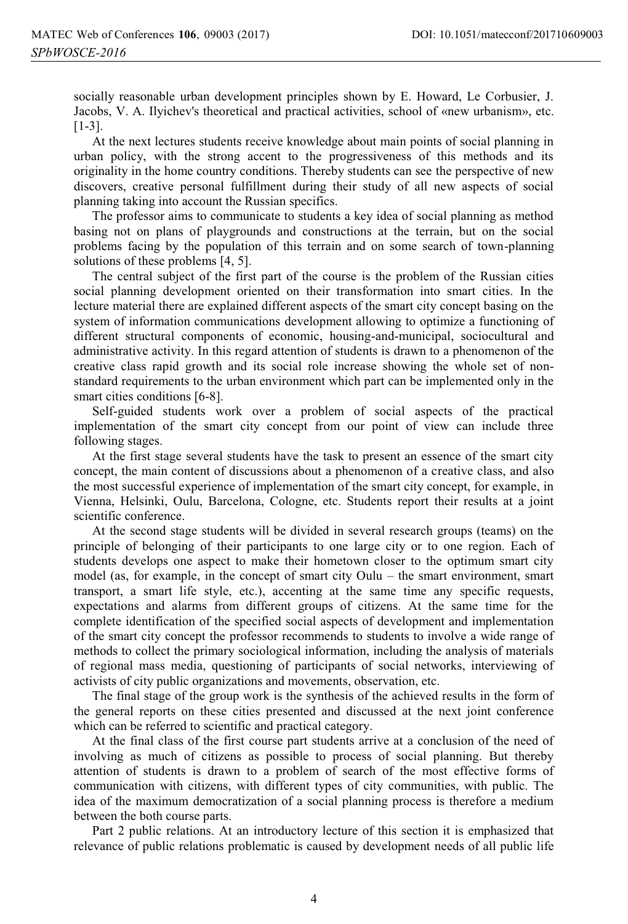socially reasonable urban development principles shown by E. Howard, Le Corbusier, J. Jacobs, V. A. Ilyichev's theoretical and practical activities, school of «new urbanism», etc. [1-3].

At the next lectures students receive knowledge about main points of social planning in urban policy, with the strong accent to the progressiveness of this methods and its originality in the home country conditions. Thereby students can see the perspective of new discovers, creative personal fulfillment during their study of all new aspects of social planning taking into account the Russian specifics.

The professor aims to communicate to students a key idea of social planning as method basing not on plans of playgrounds and constructions at the terrain, but on the social problems facing by the population of this terrain and on some search of town-planning solutions of these problems [4, 5].

The central subject of the first part of the course is the problem of the Russian cities social planning development oriented on their transformation into smart cities. In the lecture material there are explained different aspects of the smart city concept basing on the system of information communications development allowing to optimize a functioning of different structural components of economic, housing-and-municipal, sociocultural and administrative activity. In this regard attention of students is drawn to a phenomenon of the creative class rapid growth and its social role increase showing the whole set of nonstandard requirements to the urban environment which part can be implemented only in the smart cities conditions [6-8].

Self-guided students work over a problem of social aspects of the practical implementation of the smart city concept from our point of view can include three following stages.

At the first stage several students have the task to present an essence of the smart city concept, the main content of discussions about a phenomenon of a creative class, and also the most successful experience of implementation of the smart city concept, for example, in Vienna, Helsinki, Oulu, Barcelona, Cologne, etc. Students report their results at a joint scientific conference.

At the second stage students will be divided in several research groups (teams) on the principle of belonging of their participants to one large city or to one region. Each of students develops one aspect to make their hometown closer to the optimum smart city model (as, for example, in the concept of smart city Oulu – the smart environment, smart transport, a smart life style, etc.), accenting at the same time any specific requests, expectations and alarms from different groups of citizens. At the same time for the complete identification of the specified social aspects of development and implementation of the smart city concept the professor recommends to students to involve a wide range of methods to collect the primary sociological information, including the analysis of materials of regional mass media, questioning of participants of social networks, interviewing of activists of city public organizations and movements, observation, etc.

The final stage of the group work is the synthesis of the achieved results in the form of the general reports on these cities presented and discussed at the next joint conference which can be referred to scientific and practical category.

At the final class of the first course part students arrive at a conclusion of the need of involving as much of citizens as possible to process of social planning. But thereby attention of students is drawn to a problem of search of the most effective forms of communication with citizens, with different types of city communities, with public. The idea of the maximum democratization of a social planning process is therefore a medium between the both course parts.

Part 2 public relations. At an introductory lecture of this section it is emphasized that relevance of public relations problematic is caused by development needs of all public life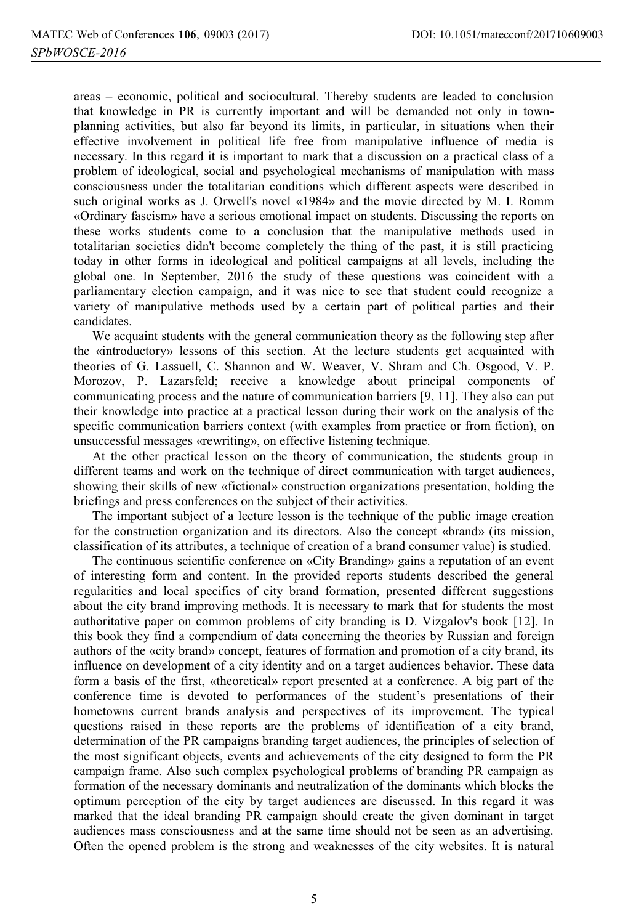areas – economic, political and sociocultural. Thereby students are leaded to conclusion that knowledge in PR is currently important and will be demanded not only in townplanning activities, but also far beyond its limits, in particular, in situations when their effective involvement in political life free from manipulative influence of media is necessary. In this regard it is important to mark that a discussion on a practical class of a problem of ideological, social and psychological mechanisms of manipulation with mass consciousness under the totalitarian conditions which different aspects were described in such original works as J. Orwell's novel «1984» and the movie directed by M. I. Romm «Ordinary fascism» have a serious emotional impact on students. Discussing the reports on these works students come to a conclusion that the manipulative methods used in totalitarian societies didn't become completely the thing of the past, it is still practicing today in other forms in ideological and political campaigns at all levels, including the global one. In September, 2016 the study of these questions was coincident with a parliamentary election campaign, and it was nice to see that student could recognize a variety of manipulative methods used by a certain part of political parties and their candidates.

We acquaint students with the general communication theory as the following step after the «introductory» lessons of this section. At the lecture students get acquainted with theories of G. Lassuell, C. Shannon and W. Weaver, V. Shram and Ch. Osgood, V. P. Morozov, P. Lazarsfeld; receive a knowledge about principal components of communicating process and the nature of communication barriers [9, 11]. They also can put their knowledge into practice at a practical lesson during their work on the analysis of the specific communication barriers context (with examples from practice or from fiction), on unsuccessful messages «rewriting», on effective listening technique.

At the other practical lesson on the theory of communication, the students group in different teams and work on the technique of direct communication with target audiences, showing their skills of new «fictional» construction organizations presentation, holding the briefings and press conferences on the subject of their activities.

The important subject of a lecture lesson is the technique of the public image creation for the construction organization and its directors. Also the concept «brand» (its mission, classification of its attributes, a technique of creation of a brand consumer value) is studied.

The continuous scientific conference on «City Branding» gains a reputation of an event of interesting form and content. In the provided reports students described the general regularities and local specifics of city brand formation, presented different suggestions about the city brand improving methods. It is necessary to mark that for students the most authoritative paper on common problems of city branding is D. Vizgalov's book [12]. In this book they find a compendium of data concerning the theories by Russian and foreign authors of the «city brand» concept, features of formation and promotion of a city brand, its influence on development of a city identity and on a target audiences behavior. These data form a basis of the first, «theoretical» report presented at a conference. A big part of the conference time is devoted to performances of the student's presentations of their hometowns current brands analysis and perspectives of its improvement. The typical questions raised in these reports are the problems of identification of a city brand, determination of the PR campaigns branding target audiences, the principles of selection of the most significant objects, events and achievements of the city designed to form the PR campaign frame. Also such complex psychological problems of branding PR campaign as formation of the necessary dominants and neutralization of the dominants which blocks the optimum perception of the city by target audiences are discussed. In this regard it was marked that the ideal branding PR campaign should create the given dominant in target audiences mass consciousness and at the same time should not be seen as an advertising. Often the opened problem is the strong and weaknesses of the city websites. It is natural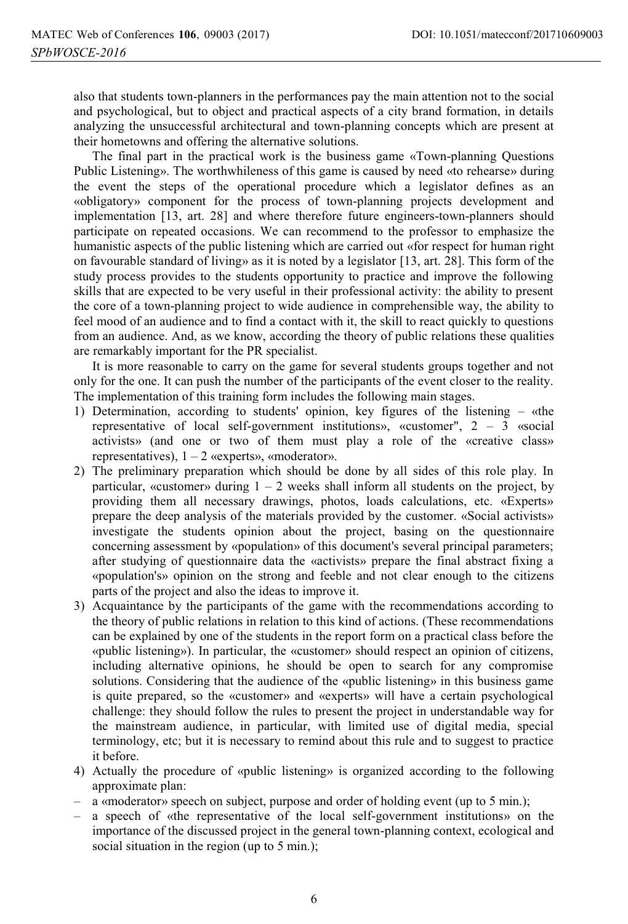also that students town-planners in the performances pay the main attention not to the social and psychological, but to object and practical aspects of a city brand formation, in details analyzing the unsuccessful architectural and town-planning concepts which are present at their hometowns and offering the alternative solutions.

The final part in the practical work is the business game «Town-planning Questions Public Listening». The worthwhileness of this game is caused by need «to rehearse» during the event the steps of the operational procedure which a legislator defines as an «obligatory» component for the process of town-planning projects development and implementation [13, art. 28] and where therefore future engineers-town-planners should participate on repeated occasions. We can recommend to the professor to emphasize the humanistic aspects of the public listening which are carried out «for respect for human right on favourable standard of living» as it is noted by a legislator [13, art. 28]. This form of the study process provides to the students opportunity to practice and improve the following skills that are expected to be very useful in their professional activity: the ability to present the core of a town-planning project to wide audience in comprehensible way, the ability to feel mood of an audience and to find a contact with it, the skill to react quickly to questions from an audience. And, as we know, according the theory of public relations these qualities are remarkably important for the PR specialist.

It is more reasonable to carry on the game for several students groups together and not only for the one. It can push the number of the participants of the event closer to the reality. The implementation of this training form includes the following main stages.

- 1) Determination, according to students' opinion, key figures of the listening «the representative of local self-government institutions», «customer", 2 – 3 «social activists» (and one or two of them must play a role of the «creative class» representatives),  $1 - 2$  «experts», «moderator».
- 2) The preliminary preparation which should be done by all sides of this role play. In particular, «customer» during  $1 - 2$  weeks shall inform all students on the project, by providing them all necessary drawings, photos, loads calculations, etc. «Experts» prepare the deep analysis of the materials provided by the customer. «Social activists» investigate the students opinion about the project, basing on the questionnaire concerning assessment by «population» of this document's several principal parameters; after studying of questionnaire data the «activists» prepare the final abstract fixing a «population's» opinion on the strong and feeble and not clear enough to the citizens parts of the project and also the ideas to improve it.
- 3) Acquaintance by the participants of the game with the recommendations according to the theory of public relations in relation to this kind of actions. (These recommendations can be explained by one of the students in the report form on a practical class before the «public listening»). In particular, the «customer» should respect an opinion of citizens, including alternative opinions, he should be open to search for any compromise solutions. Considering that the audience of the «public listening» in this business game is quite prepared, so the «customer» and «experts» will have a certain psychological challenge: they should follow the rules to present the project in understandable way for the mainstream audience, in particular, with limited use of digital media, special terminology, etc; but it is necessary to remind about this rule and to suggest to practice it before.
- 4) Actually the procedure of «public listening» is organized according to the following approximate plan:
- a «moderator» speech on subject, purpose and order of holding event (up to 5 min.);
- a speech of «the representative of the local self-government institutions» on the importance of the discussed project in the general town-planning context, ecological and social situation in the region (up to 5 min.);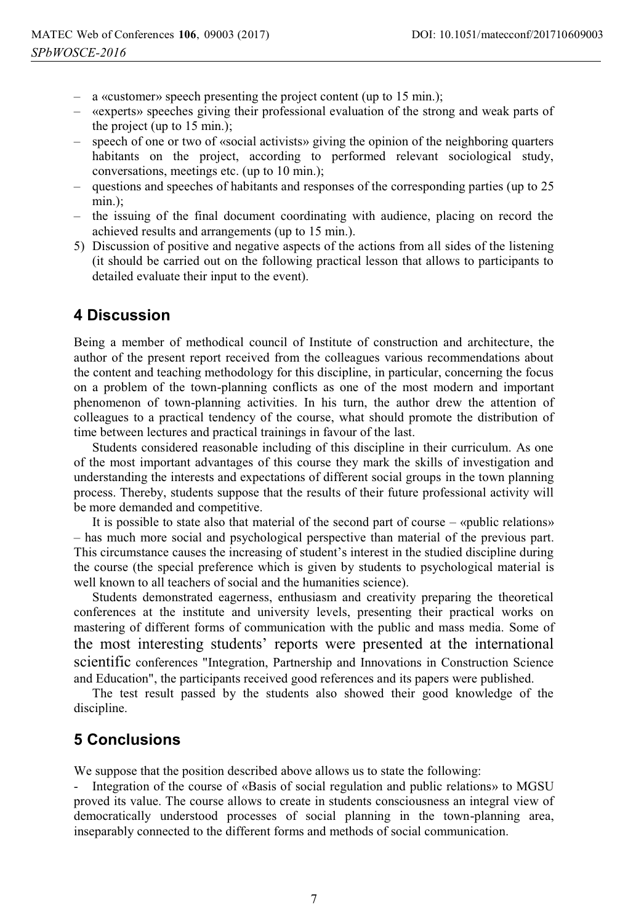- a «customer» speech presenting the project content (up to 15 min.);
- «experts» speeches giving their professional evaluation of the strong and weak parts of the project (up to 15 min.);
- speech of one or two of «social activists» giving the opinion of the neighboring quarters habitants on the project, according to performed relevant sociological study, conversations, meetings etc. (up to 10 min.);
- questions and speeches of habitants and responses of the corresponding parties (up to 25 min.);
- the issuing of the final document coordinating with audience, placing on record the achieved results and arrangements (up to 15 min.).
- 5) Discussion of positive and negative aspects of the actions from all sides of the listening (it should be carried out on the following practical lesson that allows to participants to detailed evaluate their input to the event).

### **4 Discussion**

Being a member of methodical council of Institute of construction and architecture, the author of the present report received from the colleagues various recommendations about the content and teaching methodology for this discipline, in particular, concerning the focus on a problem of the town-planning conflicts as one of the most modern and important phenomenon of town-planning activities. In his turn, the author drew the attention of colleagues to a practical tendency of the course, what should promote the distribution of time between lectures and practical trainings in favour of the last.

Students considered reasonable including of this discipline in their curriculum. As one of the most important advantages of this course they mark the skills of investigation and understanding the interests and expectations of different social groups in the town planning process. Thereby, students suppose that the results of their future professional activity will be more demanded and competitive.

It is possible to state also that material of the second part of course – «public relations» – has much more social and psychological perspective than material of the previous part. This circumstance causes the increasing of student's interest in the studied discipline during the course (the special preference which is given by students to psychological material is well known to all teachers of social and the humanities science).

Students demonstrated eagerness, enthusiasm and creativity preparing the theoretical conferences at the institute and university levels, presenting their practical works on mastering of different forms of communication with the public and mass media. Some of the most interesting students' reports were presented at the international scientific conferences "Integration, Partnership and Innovations in Construction Science and Education", the participants received good references and its papers were published.

The test result passed by the students also showed their good knowledge of the discipline.

### **5 Conclusions**

We suppose that the position described above allows us to state the following:

- Integration of the course of «Basis of social regulation and public relations» to MGSU proved its value. The course allows to create in students consciousness an integral view of democratically understood processes of social planning in the town-planning area, inseparably connected to the different forms and methods of social communication.